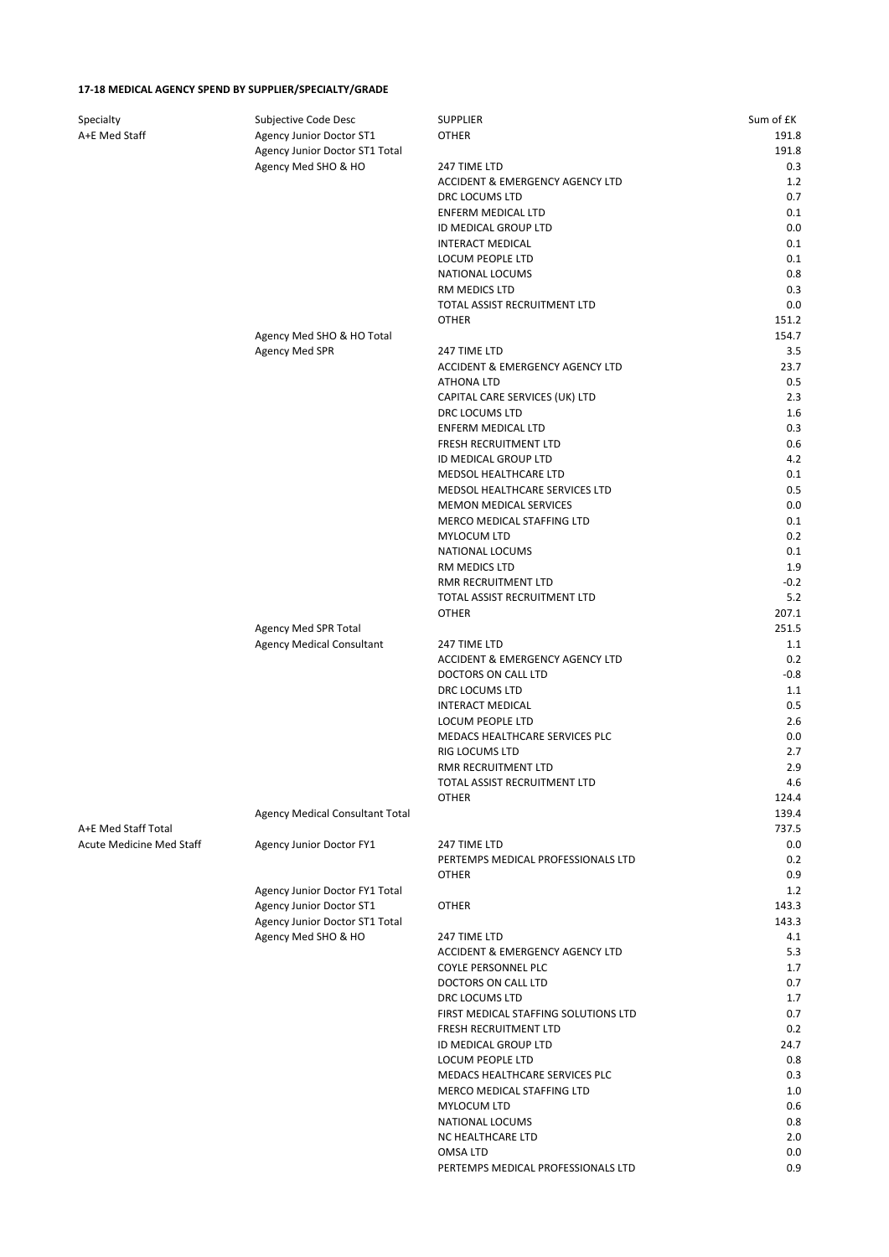## **17-18 MEDICAL AGENCY SPEND BY SUPPLIER/SPECIALTY/GRADE**

| Specialty                | Subjective Code Desc                   | <b>SUPPLIER</b>                      | Sum of £K |
|--------------------------|----------------------------------------|--------------------------------------|-----------|
| A+E Med Staff            | Agency Junior Doctor ST1               | <b>OTHER</b>                         | 191.8     |
|                          | Agency Junior Doctor ST1 Total         |                                      | 191.8     |
|                          | Agency Med SHO & HO                    | 247 TIME LTD                         | 0.3       |
|                          |                                        | ACCIDENT & EMERGENCY AGENCY LTD      | 1.2       |
|                          |                                        | DRC LOCUMS LTD                       | 0.7       |
|                          |                                        | <b>ENFERM MEDICAL LTD</b>            | 0.1       |
|                          |                                        | ID MEDICAL GROUP LTD                 | 0.0       |
|                          |                                        | <b>INTERACT MEDICAL</b>              | 0.1       |
|                          |                                        | LOCUM PEOPLE LTD                     | 0.1       |
|                          |                                        | NATIONAL LOCUMS                      | 0.8       |
|                          |                                        | RM MEDICS LTD                        | 0.3       |
|                          |                                        | TOTAL ASSIST RECRUITMENT LTD         | 0.0       |
|                          |                                        | <b>OTHER</b>                         | 151.2     |
|                          | Agency Med SHO & HO Total              |                                      | 154.7     |
|                          | <b>Agency Med SPR</b>                  | 247 TIME LTD                         | 3.5       |
|                          |                                        | ACCIDENT & EMERGENCY AGENCY LTD      | 23.7      |
|                          |                                        | <b>ATHONA LTD</b>                    | 0.5       |
|                          |                                        | CAPITAL CARE SERVICES (UK) LTD       | 2.3       |
|                          |                                        | DRC LOCUMS LTD                       | 1.6       |
|                          |                                        | ENFERM MEDICAL LTD                   | 0.3       |
|                          |                                        | FRESH RECRUITMENT LTD                | 0.6       |
|                          |                                        | ID MEDICAL GROUP LTD                 | 4.2       |
|                          |                                        | MEDSOL HEALTHCARE LTD                | 0.1       |
|                          |                                        | MEDSOL HEALTHCARE SERVICES LTD       | 0.5       |
|                          |                                        | MEMON MEDICAL SERVICES               | 0.0       |
|                          |                                        | MERCO MEDICAL STAFFING LTD           | 0.1       |
|                          |                                        | MYLOCUM LTD                          | 0.2       |
|                          |                                        | NATIONAL LOCUMS                      | 0.1       |
|                          |                                        | RM MEDICS LTD                        | 1.9       |
|                          |                                        | RMR RECRUITMENT LTD                  | $-0.2$    |
|                          |                                        | TOTAL ASSIST RECRUITMENT LTD         | 5.2       |
|                          |                                        | <b>OTHER</b>                         | 207.1     |
|                          | Agency Med SPR Total                   |                                      | 251.5     |
|                          | <b>Agency Medical Consultant</b>       | 247 TIME LTD                         | 1.1       |
|                          |                                        | ACCIDENT & EMERGENCY AGENCY LTD      | 0.2       |
|                          |                                        | DOCTORS ON CALL LTD                  | $-0.8$    |
|                          |                                        | DRC LOCUMS LTD                       | 1.1       |
|                          |                                        | <b>INTERACT MEDICAL</b>              | 0.5       |
|                          |                                        | LOCUM PEOPLE LTD                     | 2.6       |
|                          |                                        | MEDACS HEALTHCARE SERVICES PLC       | 0.0       |
|                          |                                        | RIG LOCUMS LTD                       | 2.7       |
|                          |                                        | RMR RECRUITMENT LTD                  | 2.9       |
|                          |                                        | TOTAL ASSIST RECRUITMENT LTD         | 4.6       |
|                          |                                        | <b>OTHER</b>                         | 124.4     |
|                          | <b>Agency Medical Consultant Total</b> |                                      | 139.4     |
| A+E Med Staff Total      |                                        |                                      | 737.5     |
| Acute Medicine Med Staff | Agency Junior Doctor FY1               | 247 TIME LTD                         | 0.0       |
|                          |                                        | PERTEMPS MEDICAL PROFESSIONALS LTD   | 0.2       |
|                          |                                        | <b>OTHER</b>                         | 0.9       |
|                          | Agency Junior Doctor FY1 Total         |                                      | 1.2       |
|                          | Agency Junior Doctor ST1               | <b>OTHER</b>                         | 143.3     |
|                          | Agency Junior Doctor ST1 Total         |                                      | 143.3     |
|                          | Agency Med SHO & HO                    | 247 TIME LTD                         | 4.1       |
|                          |                                        | ACCIDENT & EMERGENCY AGENCY LTD      | 5.3       |
|                          |                                        | COYLE PERSONNEL PLC                  | 1.7       |
|                          |                                        | DOCTORS ON CALL LTD                  | 0.7       |
|                          |                                        | DRC LOCUMS LTD                       | 1.7       |
|                          |                                        | FIRST MEDICAL STAFFING SOLUTIONS LTD | 0.7       |
|                          |                                        | FRESH RECRUITMENT LTD                | 0.2       |
|                          |                                        | ID MEDICAL GROUP LTD                 | 24.7      |
|                          |                                        | LOCUM PEOPLE LTD                     | 0.8       |
|                          |                                        | MEDACS HEALTHCARE SERVICES PLC       | 0.3       |
|                          |                                        | MERCO MEDICAL STAFFING LTD           | 1.0       |
|                          |                                        | MYLOCUM LTD                          | 0.6       |
|                          |                                        | NATIONAL LOCUMS                      | 0.8       |
|                          |                                        | NC HEALTHCARE LTD                    | 2.0       |
|                          |                                        | OMSA LTD                             | 0.0       |
|                          |                                        | PERTEMPS MEDICAL PROFESSIONALS LTD   | 0.9       |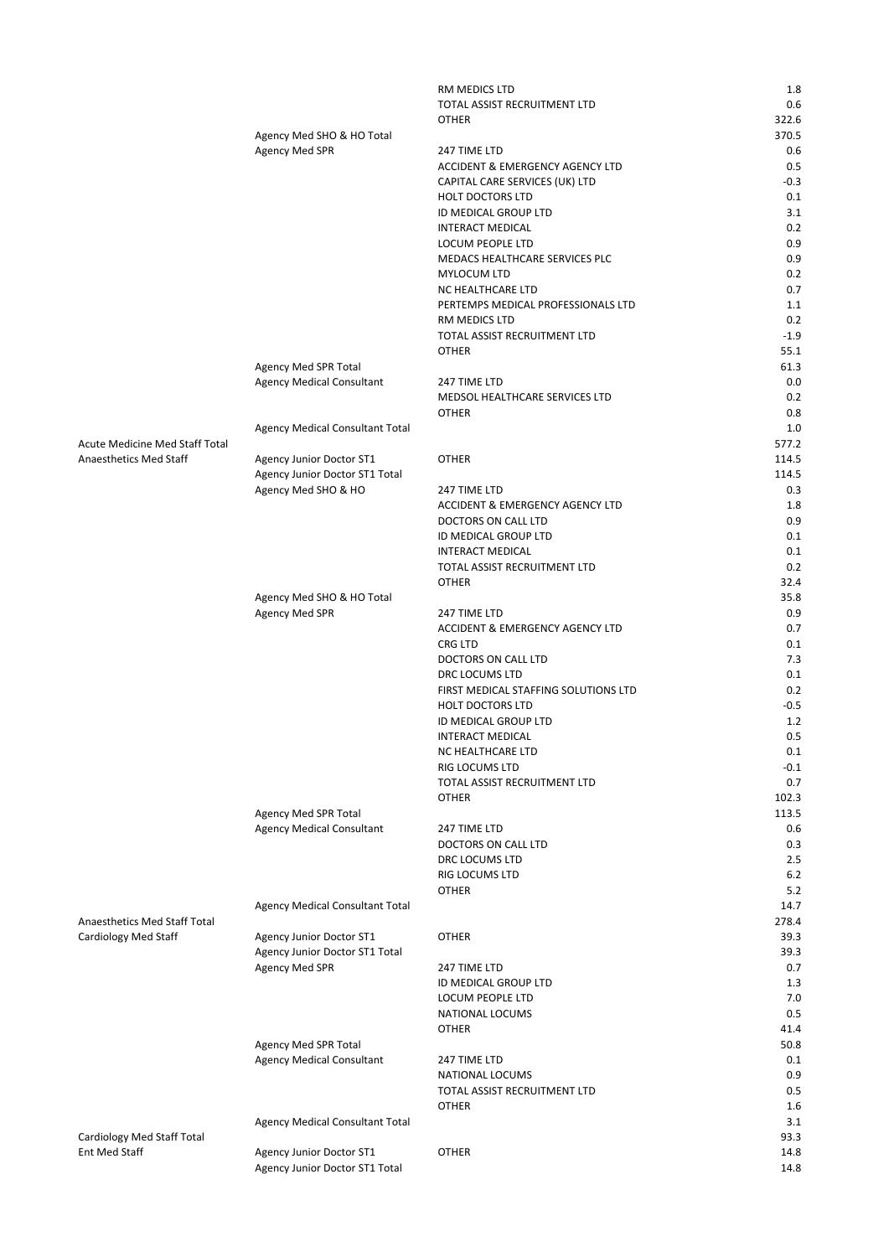|                                             |                                                       | RM MEDICS LTD                                           | 1.8            |
|---------------------------------------------|-------------------------------------------------------|---------------------------------------------------------|----------------|
|                                             |                                                       | TOTAL ASSIST RECRUITMENT LTD                            | 0.6            |
|                                             |                                                       | <b>OTHER</b>                                            | 322.6          |
|                                             | Agency Med SHO & HO Total<br><b>Agency Med SPR</b>    | 247 TIME LTD                                            | 370.5<br>0.6   |
|                                             |                                                       | ACCIDENT & EMERGENCY AGENCY LTD                         | 0.5            |
|                                             |                                                       | CAPITAL CARE SERVICES (UK) LTD                          | $-0.3$         |
|                                             |                                                       | <b>HOLT DOCTORS LTD</b>                                 | 0.1            |
|                                             |                                                       | ID MEDICAL GROUP LTD                                    | 3.1            |
|                                             |                                                       | <b>INTERACT MEDICAL</b>                                 | 0.2            |
|                                             |                                                       | LOCUM PEOPLE LTD                                        | 0.9            |
|                                             |                                                       | MEDACS HEALTHCARE SERVICES PLC                          | 0.9            |
|                                             |                                                       | MYLOCUM LTD                                             | 0.2            |
|                                             |                                                       | NC HEALTHCARE LTD<br>PERTEMPS MEDICAL PROFESSIONALS LTD | 0.7<br>1.1     |
|                                             |                                                       | RM MEDICS LTD                                           | 0.2            |
|                                             |                                                       | TOTAL ASSIST RECRUITMENT LTD                            | $-1.9$         |
|                                             |                                                       | <b>OTHER</b>                                            | 55.1           |
|                                             | Agency Med SPR Total                                  |                                                         | 61.3           |
|                                             | <b>Agency Medical Consultant</b>                      | 247 TIME LTD                                            | 0.0            |
|                                             |                                                       | MEDSOL HEALTHCARE SERVICES LTD                          | 0.2            |
|                                             |                                                       | <b>OTHER</b>                                            | 0.8            |
|                                             | Agency Medical Consultant Total                       |                                                         | 1.0            |
| Acute Medicine Med Staff Total              |                                                       |                                                         | 577.2          |
| Anaesthetics Med Staff                      | <b>Agency Junior Doctor ST1</b>                       | <b>OTHER</b>                                            | 114.5          |
|                                             | Agency Junior Doctor ST1 Total<br>Agency Med SHO & HO | 247 TIME LTD                                            | 114.5<br>0.3   |
|                                             |                                                       | <b>ACCIDENT &amp; EMERGENCY AGENCY LTD</b>              | 1.8            |
|                                             |                                                       | DOCTORS ON CALL LTD                                     | 0.9            |
|                                             |                                                       | ID MEDICAL GROUP LTD                                    | 0.1            |
|                                             |                                                       | <b>INTERACT MEDICAL</b>                                 | 0.1            |
|                                             |                                                       | TOTAL ASSIST RECRUITMENT LTD                            | 0.2            |
|                                             |                                                       | <b>OTHER</b>                                            | 32.4           |
|                                             | Agency Med SHO & HO Total                             |                                                         | 35.8           |
|                                             | <b>Agency Med SPR</b>                                 | 247 TIME LTD                                            | 0.9            |
|                                             |                                                       | ACCIDENT & EMERGENCY AGENCY LTD<br><b>CRG LTD</b>       | 0.7<br>0.1     |
|                                             |                                                       | DOCTORS ON CALL LTD                                     | 7.3            |
|                                             |                                                       | DRC LOCUMS LTD                                          | 0.1            |
|                                             |                                                       | FIRST MEDICAL STAFFING SOLUTIONS LTD                    | 0.2            |
|                                             |                                                       | <b>HOLT DOCTORS LTD</b>                                 | $-0.5$         |
|                                             |                                                       | ID MEDICAL GROUP LTD                                    | 1.2            |
|                                             |                                                       | <b>INTERACT MEDICAL</b>                                 | 0.5            |
|                                             |                                                       | NC HEALTHCARE LTD                                       | 0.1            |
|                                             |                                                       | RIG LOCUMS LTD                                          | $-0.1$         |
|                                             |                                                       | TOTAL ASSIST RECRUITMENT LTD                            | 0.7            |
|                                             | Agency Med SPR Total                                  | <b>OTHER</b>                                            | 102.3<br>113.5 |
|                                             | <b>Agency Medical Consultant</b>                      | 247 TIME LTD                                            | 0.6            |
|                                             |                                                       | DOCTORS ON CALL LTD                                     | 0.3            |
|                                             |                                                       | DRC LOCUMS LTD                                          | 2.5            |
|                                             |                                                       | RIG LOCUMS LTD                                          | 6.2            |
|                                             |                                                       | <b>OTHER</b>                                            | 5.2            |
|                                             | Agency Medical Consultant Total                       |                                                         | 14.7           |
| Anaesthetics Med Staff Total                |                                                       |                                                         | 278.4          |
| Cardiology Med Staff                        | <b>Agency Junior Doctor ST1</b>                       | <b>OTHER</b>                                            | 39.3           |
|                                             | Agency Junior Doctor ST1 Total                        |                                                         | 39.3<br>0.7    |
|                                             | Agency Med SPR                                        | 247 TIME LTD<br>ID MEDICAL GROUP LTD                    | 1.3            |
|                                             |                                                       | LOCUM PEOPLE LTD                                        | 7.0            |
|                                             |                                                       | NATIONAL LOCUMS                                         | 0.5            |
|                                             |                                                       | <b>OTHER</b>                                            | 41.4           |
|                                             | Agency Med SPR Total                                  |                                                         | 50.8           |
|                                             | <b>Agency Medical Consultant</b>                      | 247 TIME LTD                                            | 0.1            |
|                                             |                                                       | NATIONAL LOCUMS                                         | 0.9            |
|                                             |                                                       | TOTAL ASSIST RECRUITMENT LTD                            | 0.5            |
|                                             |                                                       | <b>OTHER</b>                                            | 1.6            |
|                                             | Agency Medical Consultant Total                       |                                                         | 3.1            |
| Cardiology Med Staff Total<br>Ent Med Staff | Agency Junior Doctor ST1                              | <b>OTHER</b>                                            | 93.3<br>14.8   |
|                                             | Agency Junior Doctor ST1 Total                        |                                                         | 14.8           |
|                                             |                                                       |                                                         |                |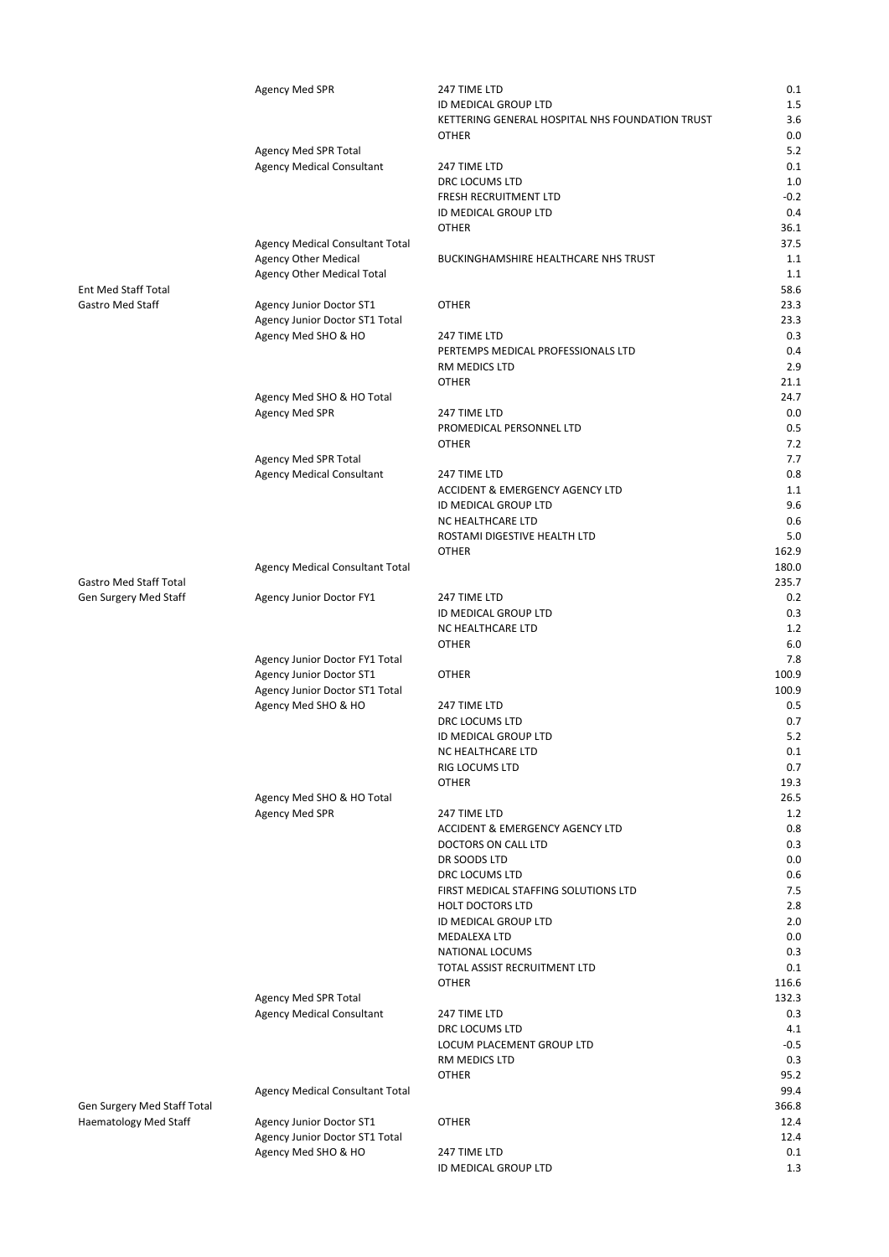|                                                             | Agency Med SPR                                     | 247 TIME LTD                                    | 0.1           |
|-------------------------------------------------------------|----------------------------------------------------|-------------------------------------------------|---------------|
|                                                             |                                                    | ID MEDICAL GROUP LTD                            | 1.5           |
|                                                             |                                                    | KETTERING GENERAL HOSPITAL NHS FOUNDATION TRUST | 3.6           |
|                                                             |                                                    | <b>OTHER</b>                                    | 0.0           |
|                                                             | Agency Med SPR Total                               |                                                 | 5.2           |
|                                                             | <b>Agency Medical Consultant</b>                   | 247 TIME LTD                                    | 0.1<br>1.0    |
|                                                             |                                                    | DRC LOCUMS LTD<br>FRESH RECRUITMENT LTD         | $-0.2$        |
|                                                             |                                                    | ID MEDICAL GROUP LTD                            | 0.4           |
|                                                             |                                                    | <b>OTHER</b>                                    | 36.1          |
|                                                             | Agency Medical Consultant Total                    |                                                 | 37.5          |
|                                                             | <b>Agency Other Medical</b>                        | <b>BUCKINGHAMSHIRE HEALTHCARE NHS TRUST</b>     | 1.1           |
|                                                             | Agency Other Medical Total                         |                                                 | 1.1           |
| Ent Med Staff Total                                         |                                                    |                                                 | 58.6          |
| Gastro Med Staff                                            | Agency Junior Doctor ST1                           | <b>OTHER</b>                                    | 23.3          |
|                                                             | Agency Junior Doctor ST1 Total                     |                                                 | 23.3          |
|                                                             | Agency Med SHO & HO                                | 247 TIME LTD                                    | 0.3           |
|                                                             |                                                    | PERTEMPS MEDICAL PROFESSIONALS LTD              | 0.4           |
|                                                             |                                                    | RM MEDICS LTD                                   | 2.9           |
|                                                             |                                                    | <b>OTHER</b>                                    | 21.1<br>24.7  |
|                                                             | Agency Med SHO & HO Total<br><b>Agency Med SPR</b> | 247 TIME LTD                                    | 0.0           |
|                                                             |                                                    | PROMEDICAL PERSONNEL LTD                        | 0.5           |
|                                                             |                                                    | <b>OTHER</b>                                    | 7.2           |
|                                                             | Agency Med SPR Total                               |                                                 | 7.7           |
|                                                             | <b>Agency Medical Consultant</b>                   | 247 TIME LTD                                    | 0.8           |
|                                                             |                                                    | ACCIDENT & EMERGENCY AGENCY LTD                 | 1.1           |
|                                                             |                                                    | ID MEDICAL GROUP LTD                            | 9.6           |
|                                                             |                                                    | NC HEALTHCARE LTD                               | 0.6           |
|                                                             |                                                    | ROSTAMI DIGESTIVE HEALTH LTD                    | 5.0           |
|                                                             |                                                    | <b>OTHER</b>                                    | 162.9         |
|                                                             | Agency Medical Consultant Total                    |                                                 | 180.0         |
| Gastro Med Staff Total                                      |                                                    |                                                 | 235.7         |
| Gen Surgery Med Staff                                       | Agency Junior Doctor FY1                           | 247 TIME LTD                                    | 0.2           |
|                                                             |                                                    | ID MEDICAL GROUP LTD                            | 0.3           |
|                                                             |                                                    | NC HEALTHCARE LTD                               | 1.2<br>6.0    |
|                                                             | Agency Junior Doctor FY1 Total                     | <b>OTHER</b>                                    | 7.8           |
|                                                             | <b>Agency Junior Doctor ST1</b>                    | <b>OTHER</b>                                    | 100.9         |
|                                                             | Agency Junior Doctor ST1 Total                     |                                                 | 100.9         |
|                                                             | Agency Med SHO & HO                                | 247 TIME LTD                                    | 0.5           |
|                                                             |                                                    | DRC LOCUMS LTD                                  | 0.7           |
|                                                             |                                                    | ID MEDICAL GROUP LTD                            | 5.2           |
|                                                             |                                                    | NC HEALTHCARE LTD                               | 0.1           |
|                                                             |                                                    | RIG LOCUMS LTD                                  | 0.7           |
|                                                             |                                                    | <b>OTHER</b>                                    | 19.3          |
|                                                             | Agency Med SHO & HO Total                          |                                                 | 26.5          |
|                                                             | <b>Agency Med SPR</b>                              | 247 TIME LTD                                    | 1.2           |
|                                                             |                                                    | ACCIDENT & EMERGENCY AGENCY LTD                 | 0.8           |
|                                                             |                                                    | <b>DOCTORS ON CALL LTD</b>                      | 0.3           |
|                                                             |                                                    | DR SOODS LTD<br>DRC LOCUMS LTD                  | 0.0<br>0.6    |
|                                                             |                                                    | FIRST MEDICAL STAFFING SOLUTIONS LTD            | 7.5           |
|                                                             |                                                    | <b>HOLT DOCTORS LTD</b>                         | 2.8           |
|                                                             |                                                    | ID MEDICAL GROUP LTD                            | 2.0           |
|                                                             |                                                    | MEDALEXA LTD                                    | 0.0           |
|                                                             |                                                    | NATIONAL LOCUMS                                 | 0.3           |
|                                                             |                                                    | TOTAL ASSIST RECRUITMENT LTD                    | 0.1           |
|                                                             |                                                    | <b>OTHER</b>                                    | 116.6         |
|                                                             | <b>Agency Med SPR Total</b>                        |                                                 | 132.3         |
|                                                             | <b>Agency Medical Consultant</b>                   | 247 TIME LTD                                    | 0.3           |
|                                                             |                                                    | DRC LOCUMS LTD                                  | 4.1           |
|                                                             |                                                    | LOCUM PLACEMENT GROUP LTD                       | $-0.5$        |
|                                                             |                                                    | RM MEDICS LTD                                   | 0.3           |
|                                                             |                                                    | <b>OTHER</b>                                    | 95.2          |
|                                                             | Agency Medical Consultant Total                    |                                                 | 99.4<br>366.8 |
| Gen Surgery Med Staff Total<br><b>Haematology Med Staff</b> | Agency Junior Doctor ST1                           | <b>OTHER</b>                                    | 12.4          |
|                                                             | Agency Junior Doctor ST1 Total                     |                                                 | 12.4          |
|                                                             | Agency Med SHO & HO                                | 247 TIME LTD                                    | 0.1           |
|                                                             |                                                    | ID MEDICAL GROUP LTD                            | 1.3           |
|                                                             |                                                    |                                                 |               |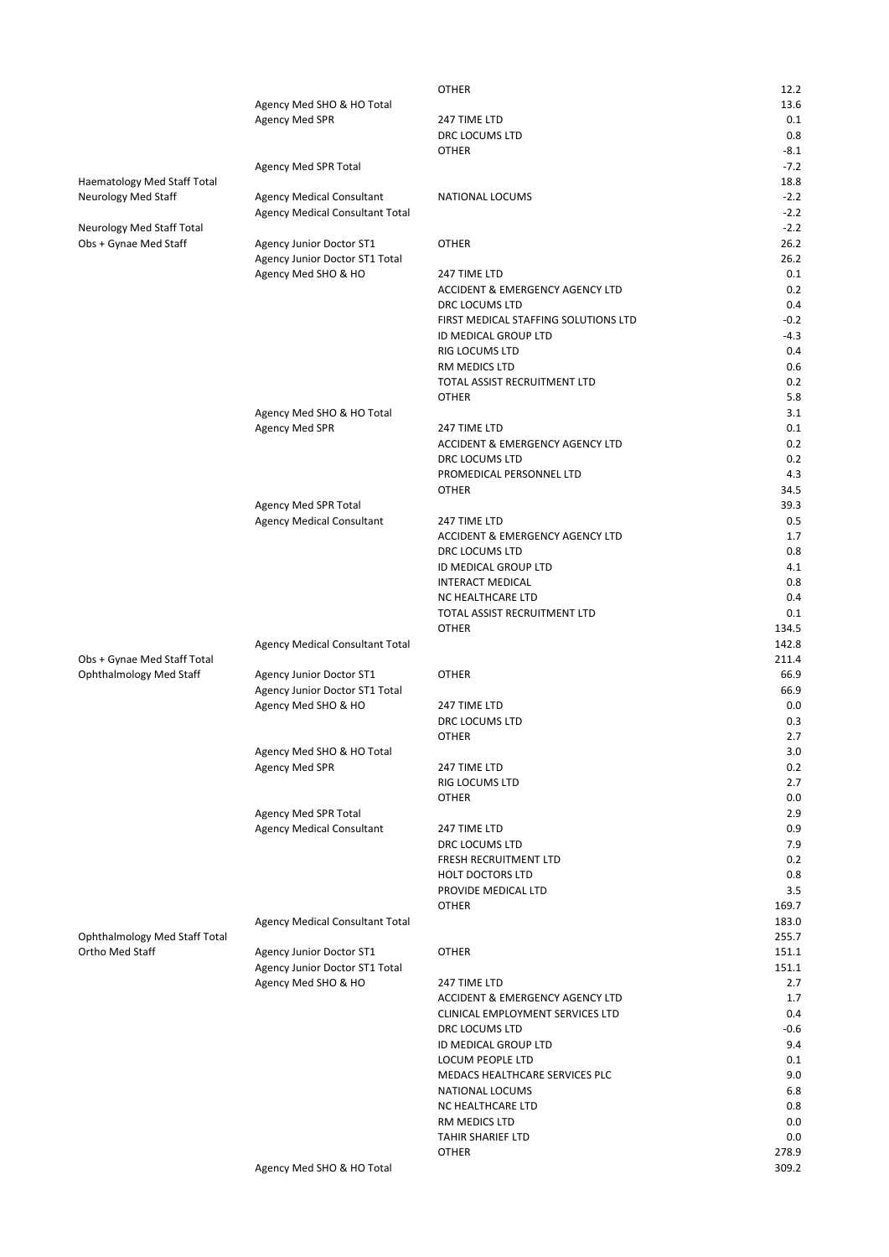|                                |                                        | <b>OTHER</b>                               | 12.2    |
|--------------------------------|----------------------------------------|--------------------------------------------|---------|
|                                | Agency Med SHO & HO Total              |                                            | 13.6    |
|                                | <b>Agency Med SPR</b>                  | 247 TIME LTD                               | 0.1     |
|                                |                                        | DRC LOCUMS LTD                             | 0.8     |
|                                |                                        | <b>OTHER</b>                               | $-8.1$  |
|                                | Agency Med SPR Total                   |                                            | $-7.2$  |
| Haematology Med Staff Total    |                                        |                                            | 18.8    |
| Neurology Med Staff            | <b>Agency Medical Consultant</b>       | NATIONAL LOCUMS                            | $-2.2$  |
|                                | Agency Medical Consultant Total        |                                            | $-2.2$  |
| Neurology Med Staff Total      |                                        |                                            | $-2.2$  |
| Obs + Gynae Med Staff          | Agency Junior Doctor ST1               | <b>OTHER</b>                               | 26.2    |
|                                | Agency Junior Doctor ST1 Total         |                                            | 26.2    |
|                                | Agency Med SHO & HO                    | 247 TIME LTD                               | 0.1     |
|                                |                                        | ACCIDENT & EMERGENCY AGENCY LTD            | 0.2     |
|                                |                                        | DRC LOCUMS LTD                             | 0.4     |
|                                |                                        | FIRST MEDICAL STAFFING SOLUTIONS LTD       | $-0.2$  |
|                                |                                        | ID MEDICAL GROUP LTD                       | $-4.3$  |
|                                |                                        | RIG LOCUMS LTD                             | 0.4     |
|                                |                                        | RM MEDICS LTD                              | 0.6     |
|                                |                                        | TOTAL ASSIST RECRUITMENT LTD               | 0.2     |
|                                |                                        | <b>OTHER</b>                               | 5.8     |
|                                | Agency Med SHO & HO Total              |                                            | 3.1     |
|                                | Agency Med SPR                         | 247 TIME LTD                               | 0.1     |
|                                |                                        | <b>ACCIDENT &amp; EMERGENCY AGENCY LTD</b> | 0.2     |
|                                |                                        | DRC LOCUMS LTD                             | 0.2     |
|                                |                                        | PROMEDICAL PERSONNEL LTD                   | 4.3     |
|                                |                                        | <b>OTHER</b>                               | 34.5    |
|                                | Agency Med SPR Total                   |                                            | 39.3    |
|                                | <b>Agency Medical Consultant</b>       | 247 TIME LTD                               | 0.5     |
|                                |                                        | ACCIDENT & EMERGENCY AGENCY LTD            | 1.7     |
|                                |                                        | DRC LOCUMS LTD                             | 0.8     |
|                                |                                        | ID MEDICAL GROUP LTD                       | 4.1     |
|                                |                                        | <b>INTERACT MEDICAL</b>                    | 0.8     |
|                                |                                        | NC HEALTHCARE LTD                          | 0.4     |
|                                |                                        | TOTAL ASSIST RECRUITMENT LTD               | 0.1     |
|                                |                                        | <b>OTHER</b>                               | 134.5   |
|                                | Agency Medical Consultant Total        |                                            | 142.8   |
| Obs + Gynae Med Staff Total    |                                        |                                            | 211.4   |
| <b>Ophthalmology Med Staff</b> | Agency Junior Doctor ST1               | <b>OTHER</b>                               | 66.9    |
|                                | Agency Junior Doctor ST1 Total         |                                            | 66.9    |
|                                | Agency Med SHO & HO                    | 247 TIME LTD                               | 0.0     |
|                                |                                        | DRC LOCUMS LTD                             | 0.3     |
|                                |                                        | <b>OTHER</b>                               | 2.7     |
|                                | Agency Med SHO & HO Total              |                                            | $3.0\,$ |
|                                | Agency Med SPR                         | 247 TIME LTD                               | 0.2     |
|                                |                                        | RIG LOCUMS LTD                             | 2.7     |
|                                |                                        | <b>OTHER</b>                               | 0.0     |
|                                | Agency Med SPR Total                   |                                            | 2.9     |
|                                | <b>Agency Medical Consultant</b>       | 247 TIME LTD                               | 0.9     |
|                                |                                        | DRC LOCUMS LTD                             | 7.9     |
|                                |                                        | FRESH RECRUITMENT LTD                      | 0.2     |
|                                |                                        | <b>HOLT DOCTORS LTD</b>                    | 0.8     |
|                                |                                        | PROVIDE MEDICAL LTD                        | 3.5     |
|                                |                                        | <b>OTHER</b>                               | 169.7   |
|                                | <b>Agency Medical Consultant Total</b> |                                            | 183.0   |
| Ophthalmology Med Staff Total  |                                        |                                            | 255.7   |
| Ortho Med Staff                | Agency Junior Doctor ST1               | <b>OTHER</b>                               | 151.1   |
|                                | Agency Junior Doctor ST1 Total         |                                            | 151.1   |
|                                | Agency Med SHO & HO                    | 247 TIME LTD                               | 2.7     |
|                                |                                        | ACCIDENT & EMERGENCY AGENCY LTD            | 1.7     |
|                                |                                        | CLINICAL EMPLOYMENT SERVICES LTD           | 0.4     |
|                                |                                        | DRC LOCUMS LTD                             | $-0.6$  |
|                                |                                        | ID MEDICAL GROUP LTD                       | 9.4     |
|                                |                                        | LOCUM PEOPLE LTD                           | 0.1     |
|                                |                                        | MEDACS HEALTHCARE SERVICES PLC             | 9.0     |
|                                |                                        | NATIONAL LOCUMS                            | 6.8     |
|                                |                                        | NC HEALTHCARE LTD                          | 0.8     |
|                                |                                        | RM MEDICS LTD                              | 0.0     |
|                                |                                        | <b>TAHIR SHARIEF LTD</b>                   | 0.0     |
|                                |                                        | <b>OTHER</b>                               | 278.9   |
|                                | Agency Med SHO & HO Total              |                                            | 309.2   |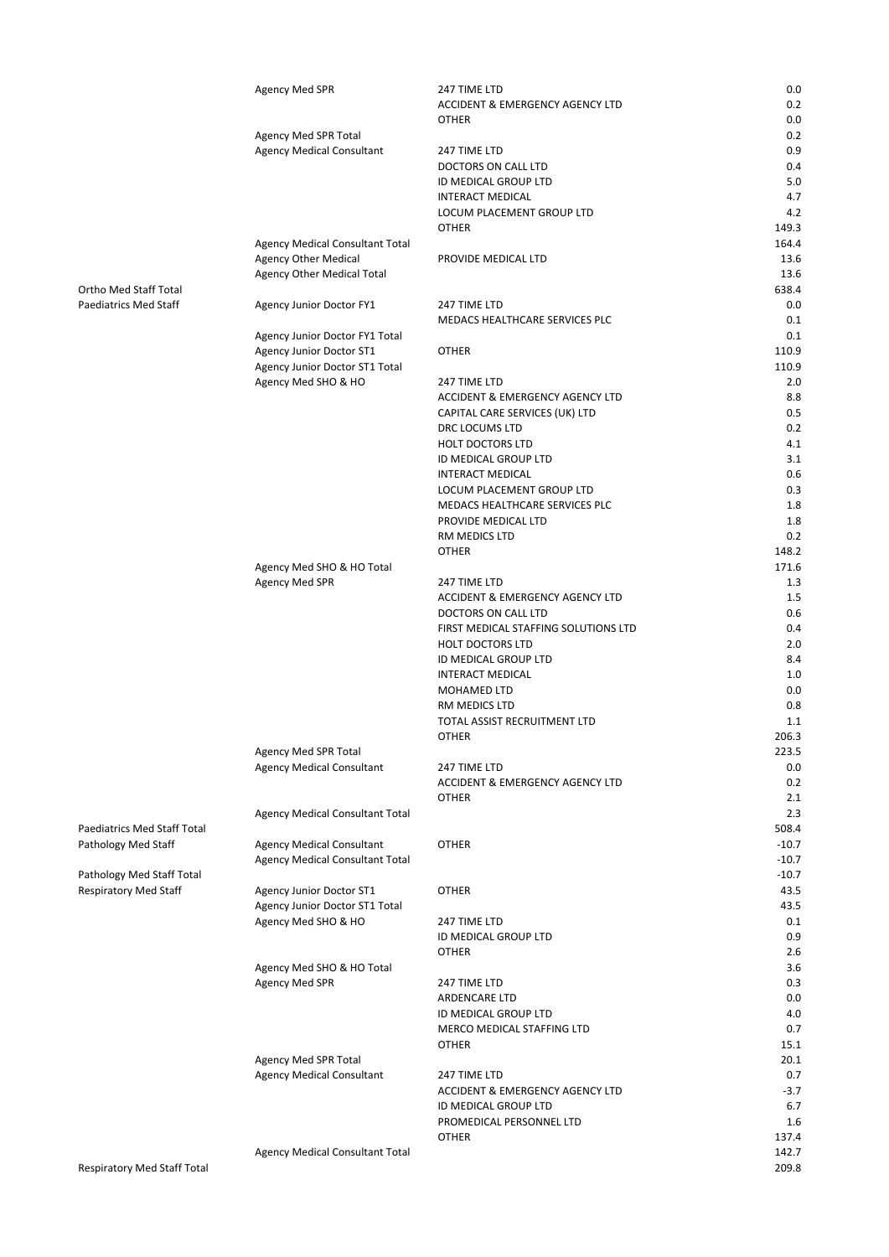|                             | <b>Agency Med SPR</b>            | 247 TIME LTD                         | 0.0     |
|-----------------------------|----------------------------------|--------------------------------------|---------|
|                             |                                  | ACCIDENT & EMERGENCY AGENCY LTD      | 0.2     |
|                             |                                  | <b>OTHER</b>                         | 0.0     |
|                             | Agency Med SPR Total             |                                      | 0.2     |
|                             | <b>Agency Medical Consultant</b> | 247 TIME LTD                         | 0.9     |
|                             |                                  | DOCTORS ON CALL LTD                  | 0.4     |
|                             |                                  | ID MEDICAL GROUP LTD                 | 5.0     |
|                             |                                  | <b>INTERACT MEDICAL</b>              | 4.7     |
|                             |                                  | LOCUM PLACEMENT GROUP LTD            | 4.2     |
|                             |                                  | <b>OTHER</b>                         | 149.3   |
|                             | Agency Medical Consultant Total  |                                      | 164.4   |
|                             | <b>Agency Other Medical</b>      | PROVIDE MEDICAL LTD                  | 13.6    |
|                             | Agency Other Medical Total       |                                      | 13.6    |
| Ortho Med Staff Total       |                                  |                                      | 638.4   |
| Paediatrics Med Staff       | <b>Agency Junior Doctor FY1</b>  | 247 TIME LTD                         | 0.0     |
|                             |                                  | MEDACS HEALTHCARE SERVICES PLC       | 0.1     |
|                             | Agency Junior Doctor FY1 Total   |                                      | 0.1     |
|                             | Agency Junior Doctor ST1         | <b>OTHER</b>                         | 110.9   |
|                             | Agency Junior Doctor ST1 Total   |                                      | 110.9   |
|                             | Agency Med SHO & HO              | 247 TIME LTD                         | 2.0     |
|                             |                                  | ACCIDENT & EMERGENCY AGENCY LTD      | 8.8     |
|                             |                                  | CAPITAL CARE SERVICES (UK) LTD       | 0.5     |
|                             |                                  | DRC LOCUMS LTD                       | 0.2     |
|                             |                                  | <b>HOLT DOCTORS LTD</b>              | 4.1     |
|                             |                                  | ID MEDICAL GROUP LTD                 | 3.1     |
|                             |                                  | <b>INTERACT MEDICAL</b>              | 0.6     |
|                             |                                  | LOCUM PLACEMENT GROUP LTD            | 0.3     |
|                             |                                  | MEDACS HEALTHCARE SERVICES PLC       | 1.8     |
|                             |                                  | PROVIDE MEDICAL LTD                  | 1.8     |
|                             |                                  | RM MEDICS LTD                        | 0.2     |
|                             |                                  | <b>OTHER</b>                         | 148.2   |
|                             | Agency Med SHO & HO Total        |                                      | 171.6   |
|                             | <b>Agency Med SPR</b>            | 247 TIME LTD                         | 1.3     |
|                             |                                  | ACCIDENT & EMERGENCY AGENCY LTD      | 1.5     |
|                             |                                  | DOCTORS ON CALL LTD                  | 0.6     |
|                             |                                  | FIRST MEDICAL STAFFING SOLUTIONS LTD | 0.4     |
|                             |                                  | <b>HOLT DOCTORS LTD</b>              | 2.0     |
|                             |                                  | ID MEDICAL GROUP LTD                 | 8.4     |
|                             |                                  | <b>INTERACT MEDICAL</b>              | 1.0     |
|                             |                                  | MOHAMED LTD                          | 0.0     |
|                             |                                  | RM MEDICS LTD                        | 0.8     |
|                             |                                  | TOTAL ASSIST RECRUITMENT LTD         | 1.1     |
|                             |                                  | <b>OTHER</b>                         | 206.3   |
|                             | Agency Med SPR Total             |                                      | 223.5   |
|                             | <b>Agency Medical Consultant</b> | 247 TIME LTD                         | 0.0     |
|                             |                                  | ACCIDENT & EMERGENCY AGENCY LTD      | 0.2     |
|                             |                                  | <b>OTHER</b>                         | 2.1     |
|                             | Agency Medical Consultant Total  |                                      | 2.3     |
| Paediatrics Med Staff Total |                                  |                                      | 508.4   |
| Pathology Med Staff         | <b>Agency Medical Consultant</b> | <b>OTHER</b>                         | $-10.7$ |
|                             | Agency Medical Consultant Total  |                                      | $-10.7$ |
| Pathology Med Staff Total   |                                  |                                      | $-10.7$ |
| Respiratory Med Staff       | <b>Agency Junior Doctor ST1</b>  | OTHER                                | 43.5    |
|                             | Agency Junior Doctor ST1 Total   |                                      | 43.5    |
|                             | Agency Med SHO & HO              | 247 TIME LTD                         | 0.1     |
|                             |                                  | ID MEDICAL GROUP LTD                 | 0.9     |
|                             |                                  | <b>OTHER</b>                         | 2.6     |
|                             | Agency Med SHO & HO Total        |                                      | 3.6     |
|                             | Agency Med SPR                   | 247 TIME LTD                         | 0.3     |
|                             |                                  | ARDENCARE LTD                        | 0.0     |
|                             |                                  | ID MEDICAL GROUP LTD                 | 4.0     |
|                             |                                  | MERCO MEDICAL STAFFING LTD           | 0.7     |
|                             |                                  |                                      | 15.1    |
|                             |                                  | OTHER                                |         |
|                             | Agency Med SPR Total             |                                      | 20.1    |
|                             | <b>Agency Medical Consultant</b> | 247 TIME LTD                         | 0.7     |
|                             |                                  | ACCIDENT & EMERGENCY AGENCY LTD      | $-3.7$  |
|                             |                                  | ID MEDICAL GROUP LTD                 | 6.7     |
|                             |                                  | PROMEDICAL PERSONNEL LTD             | 1.6     |
|                             |                                  | <b>OTHER</b>                         | 137.4   |
|                             | Agency Medical Consultant Total  |                                      | 142.7   |